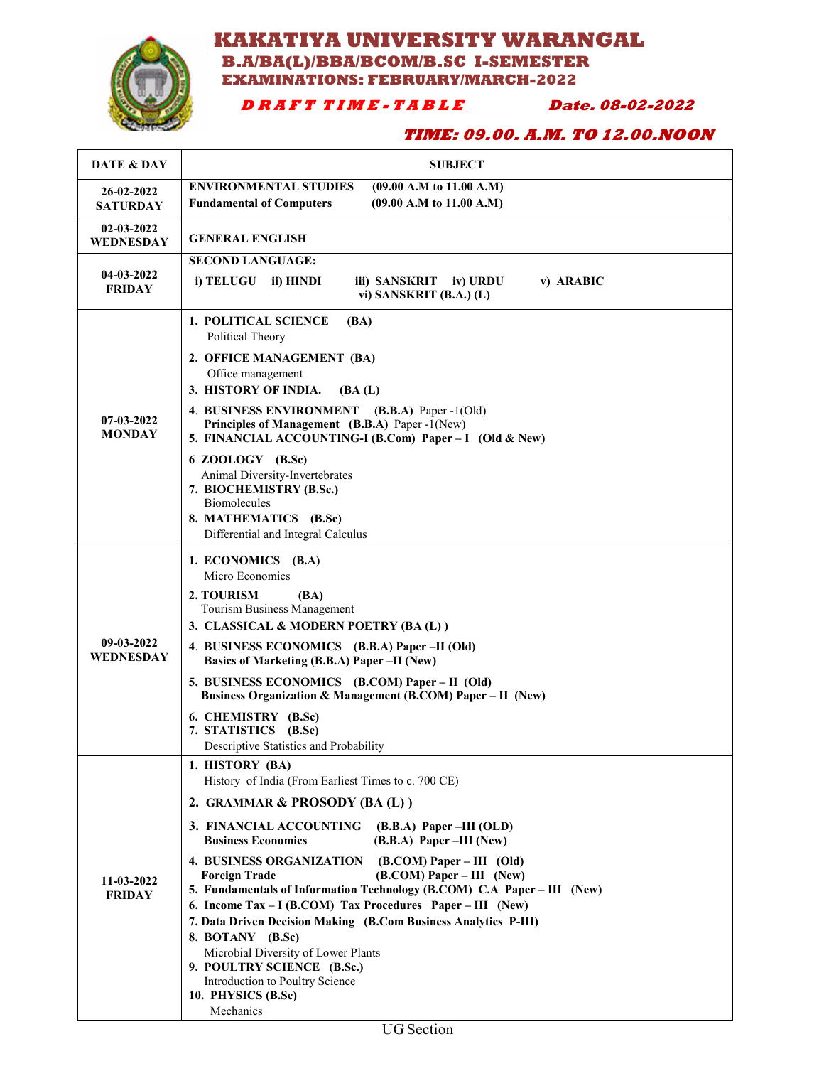

### **KAKATIYA UNIVERSITY WARANGAL B.A/BA(L)/BBA/BCOM/B.SC I-SEMESTER EXAMINATIONS: FEBRUARY/MARCH-2022**

### **D R A F T T I M E - T A B L E Date. 08-02-2022**

### **TIME: 09.00. A.M. TO 12.00.NOON**

| DATE & DAY                    | <b>SUBJECT</b>                                                                                                                                                                                                                                                                                                                                                                                                                                                                                                                                                                                                                                                                                                                    |
|-------------------------------|-----------------------------------------------------------------------------------------------------------------------------------------------------------------------------------------------------------------------------------------------------------------------------------------------------------------------------------------------------------------------------------------------------------------------------------------------------------------------------------------------------------------------------------------------------------------------------------------------------------------------------------------------------------------------------------------------------------------------------------|
| 26-02-2022<br><b>SATURDAY</b> | <b>ENVIRONMENTAL STUDIES</b><br>$(09.00$ A.M to 11.00 A.M)<br><b>Fundamental of Computers</b><br>(09.00 A.M to 11.00 A.M)                                                                                                                                                                                                                                                                                                                                                                                                                                                                                                                                                                                                         |
| 02-03-2022<br>WEDNESDAY       | <b>GENERAL ENGLISH</b>                                                                                                                                                                                                                                                                                                                                                                                                                                                                                                                                                                                                                                                                                                            |
| 04-03-2022<br><b>FRIDAY</b>   | <b>SECOND LANGUAGE:</b><br>i) TELUGU<br>ii) HINDI<br>iii) SANSKRIT iv) URDU<br>v) ARABIC<br>vi) SANSKRIT $(B.A.) (L)$                                                                                                                                                                                                                                                                                                                                                                                                                                                                                                                                                                                                             |
| $07-03-2022$<br><b>MONDAY</b> | <b>1. POLITICAL SCIENCE</b><br>(BA)<br>Political Theory<br>2. OFFICE MANAGEMENT (BA)<br>Office management<br>3. HISTORY OF INDIA.<br>(BA(L))<br>4. BUSINESS ENVIRONMENT (B.B.A) Paper -1(Old)<br>Principles of Management (B.B.A) Paper -1(New)<br>5. FINANCIAL ACCOUNTING-I (B.Com) Paper - I (Old & New)<br>6 ZOOLOGY (B.Sc)<br>Animal Diversity-Invertebrates<br>7. BIOCHEMISTRY (B.Sc.)<br><b>Biomolecules</b><br>8. MATHEMATICS (B.Sc)<br>Differential and Integral Calculus                                                                                                                                                                                                                                                 |
| 09-03-2022<br>WEDNESDAY       | 1. ECONOMICS (B.A)<br>Micro Economics<br>2. TOURISM<br>(BA)<br>Tourism Business Management<br>3. CLASSICAL & MODERN POETRY (BA(L))<br>4. BUSINESS ECONOMICS (B.B.A) Paper -II (Old)<br>Basics of Marketing (B.B.A) Paper -II (New)<br>5. BUSINESS ECONOMICS (B.COM) Paper – II (Old)<br>Business Organization & Management (B.COM) Paper – II (New)<br>6. CHEMISTRY (B.Sc)<br>7. STATISTICS (B.Sc)<br>Descriptive Statistics and Probability                                                                                                                                                                                                                                                                                      |
| 11-03-2022<br><b>FRIDAY</b>   | 1. HISTORY (BA)<br>History of India (From Earliest Times to c. 700 CE)<br>2. GRAMMAR & PROSODY (BA (L))<br>3. FINANCIAL ACCOUNTING<br>$(B.B.A)$ Paper –III (OLD)<br><b>Business Economics</b><br>$(B.B.A)$ Paper –III (New)<br><b>4. BUSINESS ORGANIZATION</b><br>$(B. COM) Paper - III$ (Old)<br>$(B. COM) Paper - III (New)$<br><b>Foreign Trade</b><br>5. Fundamentals of Information Technology (B.COM) C.A Paper - III (New)<br>6. Income Tax – I (B.COM) Tax Procedures Paper – III (New)<br>7. Data Driven Decision Making (B.Com Business Analytics P-III)<br>8. BOTANY (B.Sc)<br>Microbial Diversity of Lower Plants<br>9. POULTRY SCIENCE (B.Sc.)<br>Introduction to Poultry Science<br>10. PHYSICS (B.Sc)<br>Mechanics |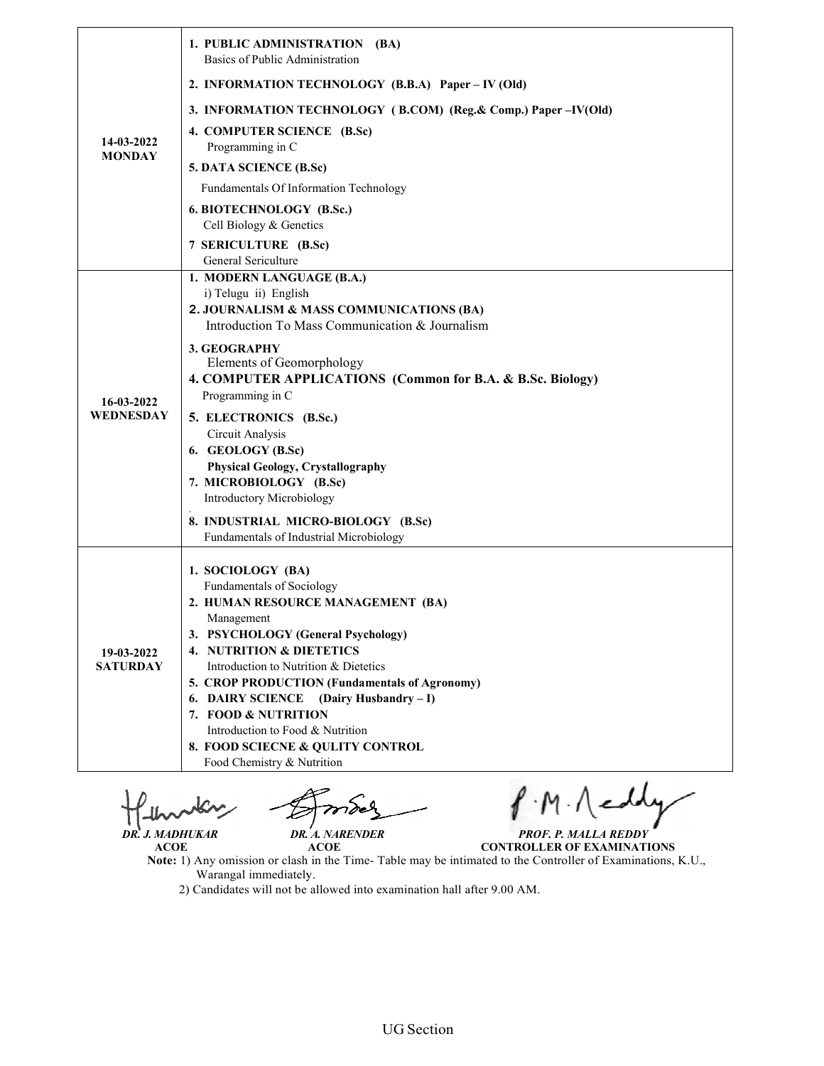| 14-03-2022                    | 1. PUBLIC ADMINISTRATION (BA)<br>Basics of Public Administration                                                                                                                                                                                                                                                                                                                                                                               |
|-------------------------------|------------------------------------------------------------------------------------------------------------------------------------------------------------------------------------------------------------------------------------------------------------------------------------------------------------------------------------------------------------------------------------------------------------------------------------------------|
|                               | 2. INFORMATION TECHNOLOGY (B.B.A) Paper – IV (Old)                                                                                                                                                                                                                                                                                                                                                                                             |
|                               | 3. INFORMATION TECHNOLOGY (B.COM) (Reg. & Comp.) Paper –IV(Old)                                                                                                                                                                                                                                                                                                                                                                                |
|                               | 4. COMPUTER SCIENCE (B.Sc)<br>Programming in C                                                                                                                                                                                                                                                                                                                                                                                                 |
| <b>MONDAY</b>                 | 5. DATA SCIENCE (B.Sc)                                                                                                                                                                                                                                                                                                                                                                                                                         |
|                               | Fundamentals Of Information Technology                                                                                                                                                                                                                                                                                                                                                                                                         |
|                               | 6. BIOTECHNOLOGY (B.Sc.)<br>Cell Biology & Genetics                                                                                                                                                                                                                                                                                                                                                                                            |
|                               | 7 SERICULTURE (B.Sc)<br>General Sericulture                                                                                                                                                                                                                                                                                                                                                                                                    |
| 16-03-2022<br>WEDNESDAY       | 1. MODERN LANGUAGE (B.A.)<br>i) Telugu ii) English<br>2. JOURNALISM & MASS COMMUNICATIONS (BA)<br>Introduction To Mass Communication & Journalism                                                                                                                                                                                                                                                                                              |
|                               | 3. GEOGRAPHY<br>Elements of Geomorphology<br>4. COMPUTER APPLICATIONS (Common for B.A. & B.Sc. Biology)<br>Programming in C                                                                                                                                                                                                                                                                                                                    |
|                               | 5. ELECTRONICS (B.Sc.)<br>Circuit Analysis<br>6. GEOLOGY (B.Sc)<br><b>Physical Geology, Crystallography</b><br>7. MICROBIOLOGY (B.Sc)<br>Introductory Microbiology                                                                                                                                                                                                                                                                             |
|                               | 8. INDUSTRIAL MICRO-BIOLOGY (B.Sc)<br>Fundamentals of Industrial Microbiology                                                                                                                                                                                                                                                                                                                                                                  |
| 19-03-2022<br><b>SATURDAY</b> | 1. SOCIOLOGY (BA)<br>Fundamentals of Sociology<br>2. HUMAN RESOURCE MANAGEMENT (BA)<br>Management<br>3. PSYCHOLOGY (General Psychology)<br>4. NUTRITION & DIETETICS<br>Introduction to Nutrition & Dietetics<br>5. CROP PRODUCTION (Fundamentals of Agronomy)<br>(Dairy Husbandry – I)<br><b>6. DAIRY SCIENCE</b><br>7. FOOD & NUTRITION<br>Introduction to Food & Nutrition<br>8. FOOD SCIECNE & QULITY CONTROL<br>Food Chemistry & Nutrition |

T  *DR. J. MADHUKAR DR. A. NARENDER*

*MADHUKAR PROF. P. MALLA REDDY*

 **ACOE ACOE Note:** 1) Any omission or clash in the Time Warangal immediately. **CONTROLLER OF EXAMINATIONS** or clash in the Time- Table may be intimated to the Controller of Examinations, K.U.,

Warangal immediately.<br>2) Candidates will not be allowed into examination hall after 9.00 AM.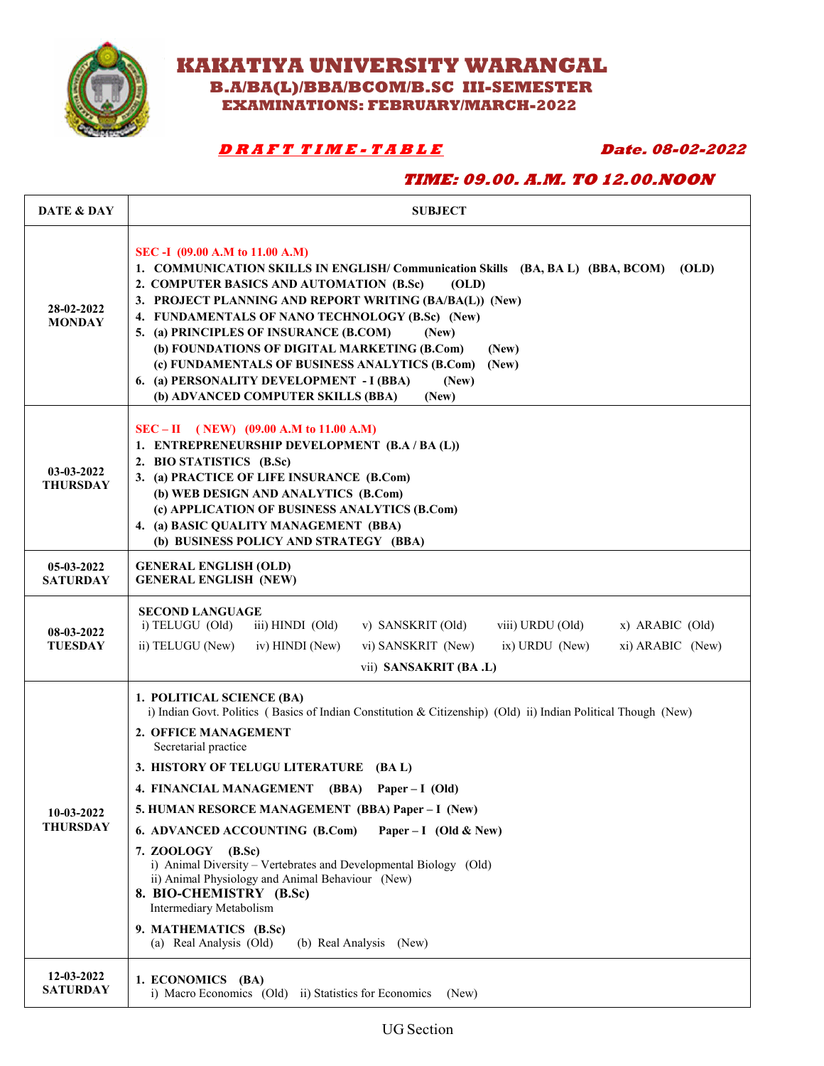**KAKATIYA UNIVERSITY WARANGAL**

 **B.A/BA(L)/BBA/BCOM/B.SC III-SEMESTER EXAMINATIONS: FEBRUARY/MARCH-2022** 

### **D R A F T T I M E - T A B L E Date. 08-02-2022**

### **TIME: 09.00. A.M. TO 12.00.NOON**

| <b>DATE &amp; DAY</b>         | <b>SUBJECT</b>                                                                                                                                                                                                                                                                                                                                                                                                                                                                                                                                                                                                                                                                                   |
|-------------------------------|--------------------------------------------------------------------------------------------------------------------------------------------------------------------------------------------------------------------------------------------------------------------------------------------------------------------------------------------------------------------------------------------------------------------------------------------------------------------------------------------------------------------------------------------------------------------------------------------------------------------------------------------------------------------------------------------------|
| 28-02-2022<br><b>MONDAY</b>   | SEC -I (09.00 A.M to 11.00 A.M)<br>1. COMMUNICATION SKILLS IN ENGLISH/ Communication Skills (BA, BA L) (BBA, BCOM)<br>(OLD)<br>2. COMPUTER BASICS AND AUTOMATION (B.Sc)<br>(OLD)<br>3. PROJECT PLANNING AND REPORT WRITING (BA/BA(L)) (New)<br>4. FUNDAMENTALS OF NANO TECHNOLOGY (B.Sc) (New)<br>5. (a) PRINCIPLES OF INSURANCE (B.COM)<br>(New)<br>(b) FOUNDATIONS OF DIGITAL MARKETING (B.Com)<br>(New)<br>(c) FUNDAMENTALS OF BUSINESS ANALYTICS (B.Com)<br>(New)<br>6. (a) PERSONALITY DEVELOPMENT - I (BBA)<br>(New)<br>(b) ADVANCED COMPUTER SKILLS (BBA)<br>(New)                                                                                                                        |
| 03-03-2022<br><b>THURSDAY</b> | $SEC - II (NEW) (09.00 A.M to 11.00 A.M)$<br>1. ENTREPRENEURSHIP DEVELOPMENT (B.A / BA (L))<br>2. BIO STATISTICS (B.Sc)<br>3. (a) PRACTICE OF LIFE INSURANCE (B.Com)<br>(b) WEB DESIGN AND ANALYTICS (B.Com)<br>(c) APPLICATION OF BUSINESS ANALYTICS (B.Com)<br>4. (a) BASIC QUALITY MANAGEMENT (BBA)<br>(b) BUSINESS POLICY AND STRATEGY (BBA)                                                                                                                                                                                                                                                                                                                                                 |
| 05-03-2022<br><b>SATURDAY</b> | <b>GENERAL ENGLISH (OLD)</b><br><b>GENERAL ENGLISH (NEW)</b>                                                                                                                                                                                                                                                                                                                                                                                                                                                                                                                                                                                                                                     |
| 08-03-2022<br><b>TUESDAY</b>  | <b>SECOND LANGUAGE</b><br>i) TELUGU (Old)<br>iii) HINDI (Old)<br>v) SANSKRIT (Old)<br>viii) URDU (Old)<br>$x)$ ARABIC (Old)<br>ii) TELUGU (New)<br>$ix)$ URDU (New)<br>xi) ARABIC (New)<br>iv) HINDI (New)<br>vi) SANSKRIT (New)<br>vii) SANSAKRIT (BA .L)                                                                                                                                                                                                                                                                                                                                                                                                                                       |
| 10-03-2022<br><b>THURSDAY</b> | 1. POLITICAL SCIENCE (BA)<br>i) Indian Govt. Politics (Basics of Indian Constitution & Citizenship) (Old) ii) Indian Political Though (New)<br>2. OFFICE MANAGEMENT<br>Secretarial practice<br>3. HISTORY OF TELUGU LITERATURE<br>(BA L)<br>4. FINANCIAL MANAGEMENT (BBA)<br>Paper $-I$ (Old)<br>5. HUMAN RESORCE MANAGEMENT (BBA) Paper – I (New)<br>6. ADVANCED ACCOUNTING (B.Com)<br>Paper – I (Old & New)<br>7. ZOOLOGY (B.Sc)<br>i) Animal Diversity - Vertebrates and Developmental Biology (Old)<br>ii) Animal Physiology and Animal Behaviour (New)<br>8. BIO-CHEMISTRY (B.Sc)<br>Intermediary Metabolism<br>9. MATHEMATICS (B.Sc)<br>(a) Real Analysis (Old)<br>(b) Real Analysis (New) |
| 12-03-2022<br><b>SATURDAY</b> | 1. ECONOMICS (BA)<br>i) Macro Economics (Old) ii) Statistics for Economics<br>(New)                                                                                                                                                                                                                                                                                                                                                                                                                                                                                                                                                                                                              |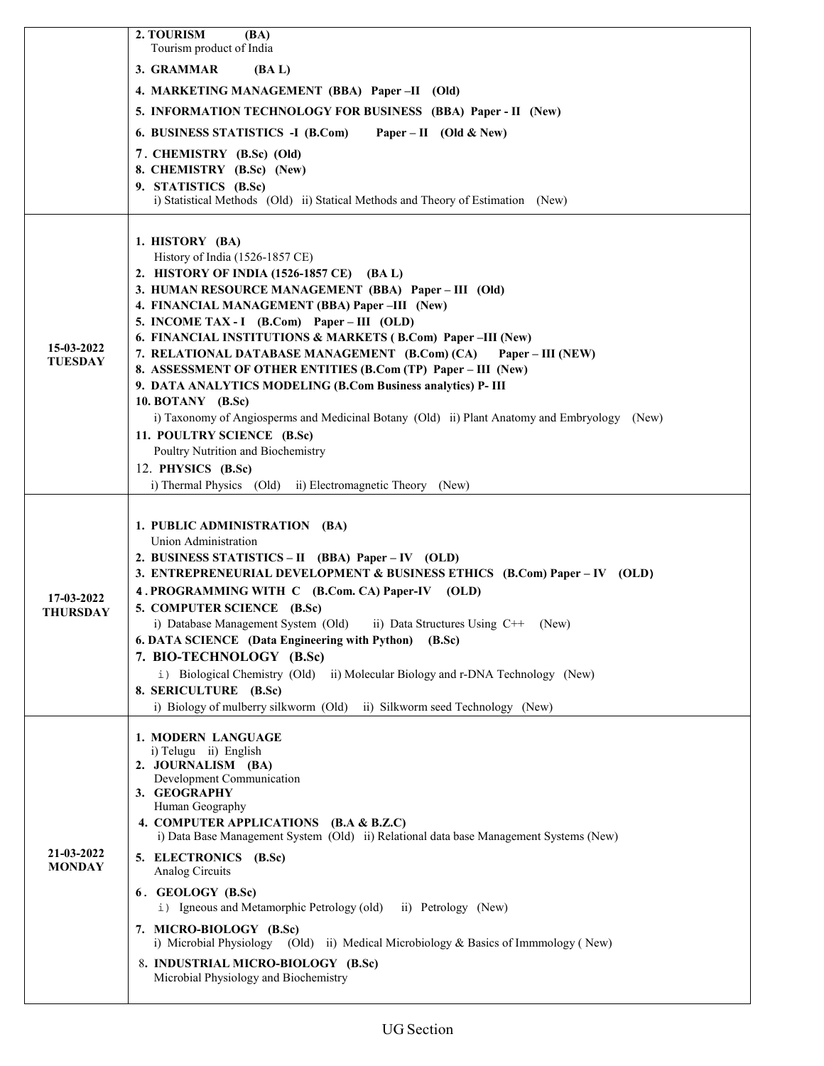|                             | 2. TOURISM<br>(BA)<br>Tourism product of India                                                                                |
|-----------------------------|-------------------------------------------------------------------------------------------------------------------------------|
|                             | 3. GRAMMAR<br>(BA L)                                                                                                          |
|                             | 4. MARKETING MANAGEMENT (BBA) Paper-II (Old)                                                                                  |
|                             | 5. INFORMATION TECHNOLOGY FOR BUSINESS (BBA) Paper - II (New)                                                                 |
|                             | 6. BUSINESS STATISTICS -I (B.Com)<br>Paper – II (Old & New)                                                                   |
|                             | 7. CHEMISTRY (B.Sc) (Old)                                                                                                     |
|                             | 8. CHEMISTRY (B.Sc) (New)                                                                                                     |
|                             | 9. STATISTICS (B.Sc)<br>i) Statistical Methods (Old) ii) Statical Methods and Theory of Estimation (New)                      |
|                             |                                                                                                                               |
|                             | 1. HISTORY (BA)                                                                                                               |
|                             | History of India (1526-1857 CE)                                                                                               |
|                             | 2. HISTORY OF INDIA (1526-1857 CE) (BA L)                                                                                     |
|                             | 3. HUMAN RESOURCE MANAGEMENT (BBA) Paper - III (Old)<br>4. FINANCIAL MANAGEMENT (BBA) Paper -III (New)                        |
|                             | 5. INCOME TAX - I (B.Com) Paper – III (OLD)                                                                                   |
| 15-03-2022                  | 6. FINANCIAL INSTITUTIONS & MARKETS (B.Com) Paper-III (New)                                                                   |
| <b>TUESDAY</b>              | 7. RELATIONAL DATABASE MANAGEMENT (B.Com) (CA)<br>Paper – III (NEW)                                                           |
|                             | 8. ASSESSMENT OF OTHER ENTITIES (B.Com (TP) Paper - III (New)<br>9. DATA ANALYTICS MODELING (B.Com Business analytics) P- III |
|                             | 10. BOTANY (B.Sc)                                                                                                             |
|                             | i) Taxonomy of Angiosperms and Medicinal Botany (Old) ii) Plant Anatomy and Embryology (New)                                  |
|                             | 11. POULTRY SCIENCE (B.Sc)                                                                                                    |
|                             | Poultry Nutrition and Biochemistry                                                                                            |
|                             | 12. PHYSICS (B.Sc)<br>i) Thermal Physics (Old) ii) Electromagnetic Theory (New)                                               |
|                             |                                                                                                                               |
|                             | 1. PUBLIC ADMINISTRATION (BA)                                                                                                 |
|                             | Union Administration                                                                                                          |
|                             | 2. BUSINESS STATISTICS – II (BBA) Paper – IV (OLD)                                                                            |
|                             | 3. ENTREPRENEURIAL DEVELOPMENT & BUSINESS ETHICS (B.Com) Paper - IV (OLD)                                                     |
| 17-03-2022                  | 4. PROGRAMMING WITH C (B.Com. CA) Paper-IV (OLD)                                                                              |
| <b>THURSDAY</b>             | 5. COMPUTER SCIENCE (B.Sc)<br>i) Database Management System (Old) ii) Data Structures Using $C++$ (New)                       |
|                             | 6. DATA SCIENCE (Data Engineering with Python) (B.Sc)                                                                         |
|                             | 7. BIO-TECHNOLOGY (B.Sc)                                                                                                      |
|                             | i) Biological Chemistry (Old) ii) Molecular Biology and r-DNA Technology (New)                                                |
|                             | 8. SERICULTURE (B.Sc)<br>i) Biology of mulberry silkworm (Old) ii) Silkworm seed Technology (New)                             |
|                             |                                                                                                                               |
|                             | 1. MODERN LANGUAGE                                                                                                            |
|                             | i) Telugu ii) English<br>2. JOURNALISM (BA)                                                                                   |
|                             | Development Communication                                                                                                     |
| 21-03-2022<br><b>MONDAY</b> | 3. GEOGRAPHY<br>Human Geography                                                                                               |
|                             | 4. COMPUTER APPLICATIONS (B.A & B.Z.C)                                                                                        |
|                             | i) Data Base Management System (Old) ii) Relational data base Management Systems (New)                                        |
|                             | 5. ELECTRONICS (B.Sc)                                                                                                         |
|                             | Analog Circuits                                                                                                               |
|                             | 6. GEOLOGY (B.Sc)<br>i) Igneous and Metamorphic Petrology (old) ii) Petrology (New)                                           |
|                             | 7. MICRO-BIOLOGY (B.Sc)                                                                                                       |
|                             | i) Microbial Physiology (Old) ii) Medical Microbiology & Basics of Immmology (New)                                            |
|                             | 8. INDUSTRIAL MICRO-BIOLOGY (B.Sc)                                                                                            |
|                             | Microbial Physiology and Biochemistry                                                                                         |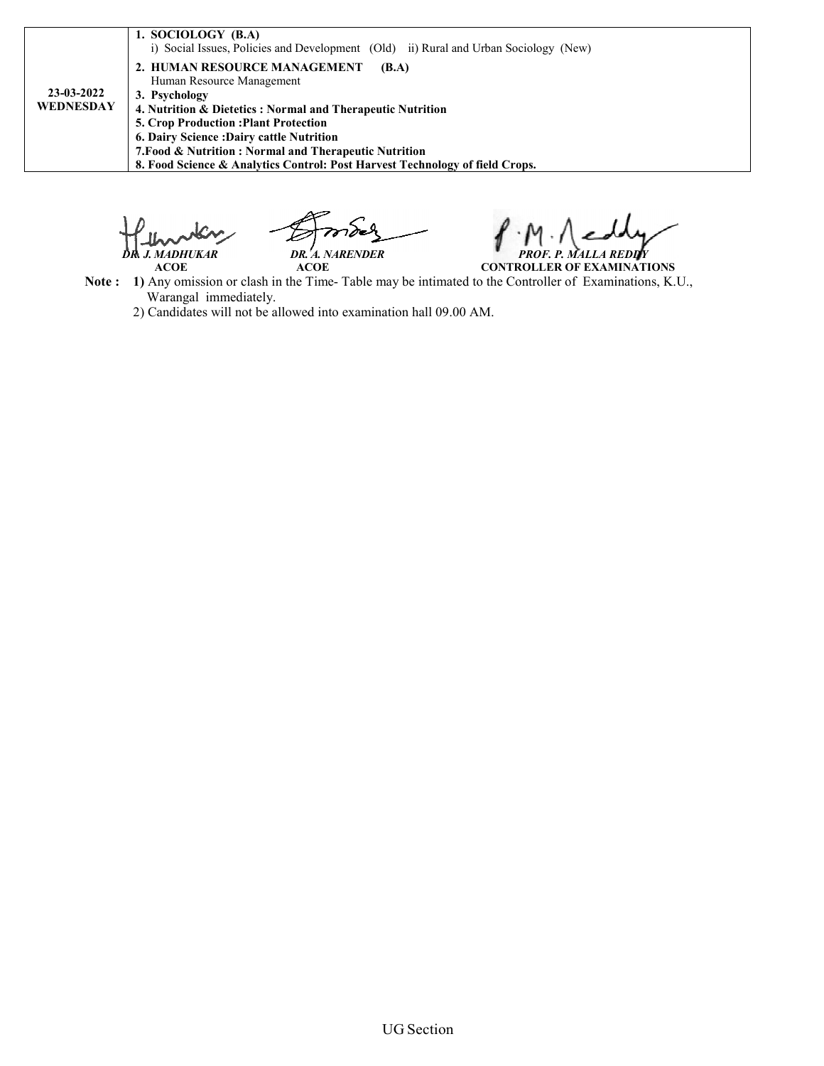| 23-03-2022<br>WEDNESDAY | 1. SOCIOLOGY (B.A)<br>i) Social Issues, Policies and Development (Old) ii) Rural and Urban Sociology (New)<br>2. HUMAN RESOURCE MANAGEMENT<br>(B.A)<br>Human Resource Management<br>3. Psychology<br>4. Nutrition & Dietetics: Normal and Therapeutic Nutrition |
|-------------------------|-----------------------------------------------------------------------------------------------------------------------------------------------------------------------------------------------------------------------------------------------------------------|
|                         | <b>5. Crop Production: Plant Protection</b><br>6. Dairy Science: Dairy cattle Nutrition                                                                                                                                                                         |
|                         | 7. Food & Nutrition: Normal and Therapeutic Nutrition<br>8. Food Science & Analytics Control: Post Harvest Technology of field Crops.                                                                                                                           |

 *DR. J. MADHUKAR DR. A. NARENDER MADHUKAR PROF. P. MALLA REDDY*<br>ACOE **ACOE** *PROF. P. MALLA REDDY* 

 **ACOE ACOE Note :** 1) Any omission or clash in the Time- Table may be intimated to the Controller of Examinations, K.U., Warangal immediately. **CONTROLLER OF EXAMINATIONS**

2) Candidates will not be allowed into examination hall 09.00 AM.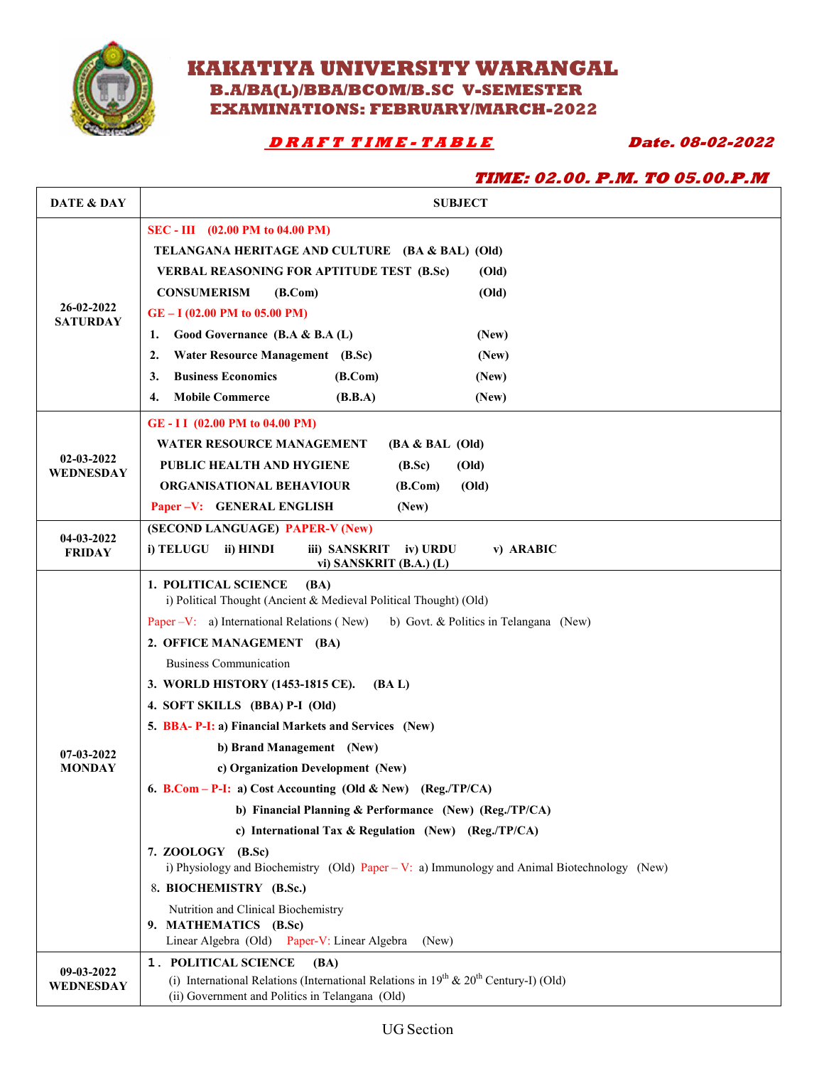

## **KAKATIYA UNIVERSITY WARANGAL B.A/BA(L)/BBA/BCOM/B.SC V-SEMESTER EXAMINATIONS: FEBRUARY/MARCH-2022**

 **D R A F T T I M E - T A B L E Date. 08-02-2022** 

|                               | <b>TIME: 02.00. P.M. TO 05.00.P.M</b>                                                                                                                                       |
|-------------------------------|-----------------------------------------------------------------------------------------------------------------------------------------------------------------------------|
| DATE & DAY                    | <b>SUBJECT</b>                                                                                                                                                              |
|                               | SEC - III (02.00 PM to 04.00 PM)                                                                                                                                            |
|                               | TELANGANA HERITAGE AND CULTURE (BA & BAL) (Old)                                                                                                                             |
|                               | <b>VERBAL REASONING FOR APTITUDE TEST (B.Sc)</b><br>(Old)                                                                                                                   |
|                               | <b>CONSUMERISM</b><br>(B. Com)<br>(Old)                                                                                                                                     |
| 26-02-2022<br><b>SATURDAY</b> | $GE - I$ (02.00 PM to 05.00 PM)                                                                                                                                             |
|                               | Good Governance (B.A & B.A (L)<br>(New)<br>1.                                                                                                                               |
|                               | <b>Water Resource Management</b> (B.Sc)<br>2.<br>(New)                                                                                                                      |
|                               | <b>Business Economics</b><br>(B. Com)<br>(New)<br>3.                                                                                                                        |
|                               | <b>Mobile Commerce</b><br>4.<br>(B.B.A)<br>(New)                                                                                                                            |
|                               | GE-II (02.00 PM to 04.00 PM)                                                                                                                                                |
|                               | <b>WATER RESOURCE MANAGEMENT</b><br>$(BA & BAL$ (Old)                                                                                                                       |
| 02-03-2022<br>WEDNESDAY       | PUBLIC HEALTH AND HYGIENE<br>(Old)<br>(B.Sc)                                                                                                                                |
|                               | <b>ORGANISATIONAL BEHAVIOUR</b><br>(Old)<br>(B. Com)                                                                                                                        |
|                               | Paper -V: GENERAL ENGLISH<br>(New)                                                                                                                                          |
| 04-03-2022                    | (SECOND LANGUAGE) PAPER-V (New)                                                                                                                                             |
| <b>FRIDAY</b>                 | i) TELUGU<br>ii) HINDI<br>iii) SANSKRIT<br>iv) URDU<br>v) ARABIC<br>vi) SANSKRIT (B.A.) (L)                                                                                 |
|                               | 1. POLITICAL SCIENCE<br>(BA)<br>i) Political Thought (Ancient & Medieval Political Thought) (Old)                                                                           |
|                               | Paper – V: a) International Relations (New)<br>b) Govt. & Politics in Telangana (New)                                                                                       |
|                               | 2. OFFICE MANAGEMENT (BA)                                                                                                                                                   |
|                               | <b>Business Communication</b>                                                                                                                                               |
|                               | 3. WORLD HISTORY (1453-1815 CE).<br>(BA L)                                                                                                                                  |
|                               | 4. SOFT SKILLS (BBA) P-I (Old)                                                                                                                                              |
|                               | 5. BBA- P-I: a) Financial Markets and Services (New)                                                                                                                        |
| 07-03-2022                    | b) Brand Management (New)                                                                                                                                                   |
| <b>MONDAY</b>                 | c) Organization Development (New)                                                                                                                                           |
|                               | 6. B.Com - P-I: a) Cost Accounting (Old & New) (Reg./TP/CA)                                                                                                                 |
|                               | b) Financial Planning & Performance (New) (Reg./TP/CA)                                                                                                                      |
|                               | c) International Tax $\&$ Regulation (New) (Reg./TP/CA)                                                                                                                     |
|                               | 7. ZOOLOGY (B.Sc)<br>i) Physiology and Biochemistry (Old) Paper - V: a) Immunology and Animal Biotechnology (New)                                                           |
|                               | 8. BIOCHEMISTRY (B.Sc.)                                                                                                                                                     |
|                               | Nutrition and Clinical Biochemistry<br>9. MATHEMATICS (B.Sc)<br>Linear Algebra (Old) Paper-V: Linear Algebra<br>(New)                                                       |
| 09-03-2022<br>WEDNESDAY       | 1. POLITICAL SCIENCE<br>(BA)<br>(i) International Relations (International Relations in $19th$ & $20th$ Century-I) (Old)<br>(ii) Government and Politics in Telangana (Old) |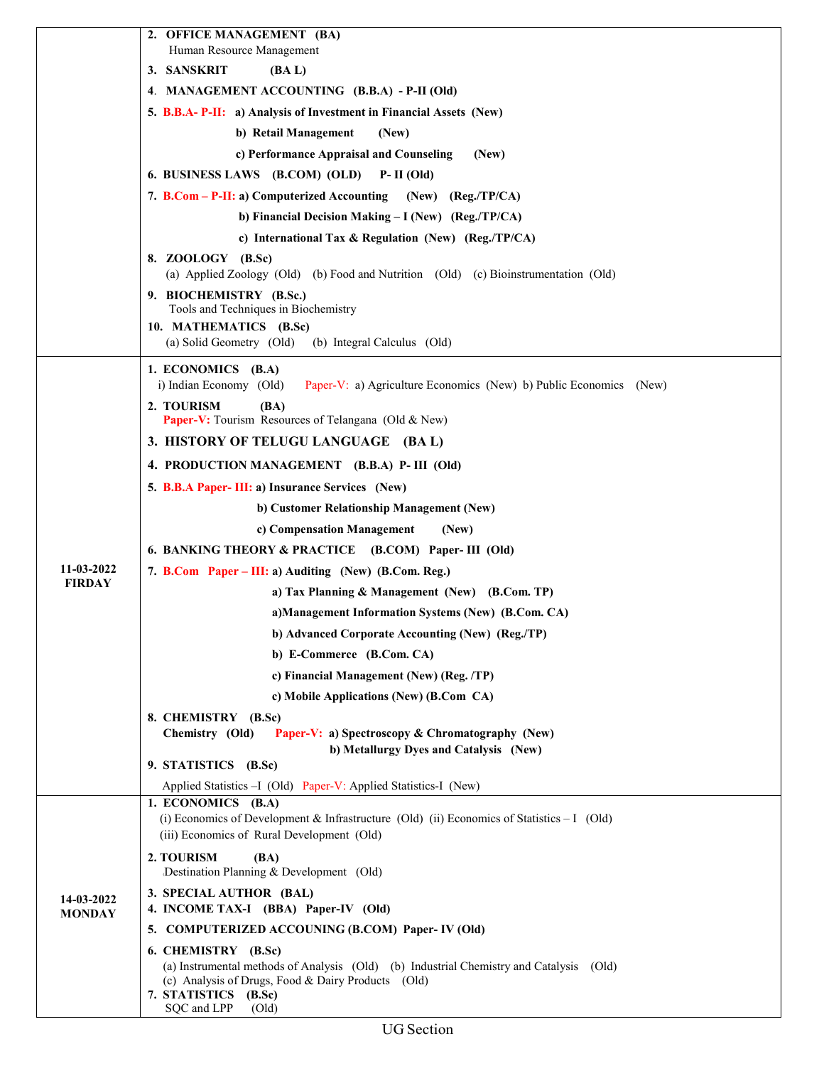|                             | 2. OFFICE MANAGEMENT (BA)                                                                                                                                                            |
|-----------------------------|--------------------------------------------------------------------------------------------------------------------------------------------------------------------------------------|
|                             | Human Resource Management<br>3. SANSKRIT<br>(BA L)                                                                                                                                   |
|                             | 4. MANAGEMENT ACCOUNTING (B.B.A) - P-II (Old)                                                                                                                                        |
|                             | 5. B.B.A- P-II: a) Analysis of Investment in Financial Assets (New)                                                                                                                  |
|                             | b) Retail Management<br>(New)                                                                                                                                                        |
|                             | c) Performance Appraisal and Counseling<br>(New)                                                                                                                                     |
|                             | 6. BUSINESS LAWS (B.COM) (OLD)<br>$P-II(OId)$                                                                                                                                        |
|                             | 7. B.Com – P-II: a) Computerized Accounting<br>$(New)$ $(Reg./TP/CA)$                                                                                                                |
|                             | b) Financial Decision Making - I (New) (Reg./TP/CA)                                                                                                                                  |
|                             | c) International Tax & Regulation (New) (Reg./TP/CA)                                                                                                                                 |
|                             | 8. ZOOLOGY (B.Sc)                                                                                                                                                                    |
|                             | (a) Applied Zoology (Old) (b) Food and Nutrition (Old) (c) Bioinstrumentation (Old)                                                                                                  |
|                             | 9. BIOCHEMISTRY (B.Sc.)<br>Tools and Techniques in Biochemistry                                                                                                                      |
|                             | 10. MATHEMATICS (B.Sc)                                                                                                                                                               |
|                             | (a) Solid Geometry (Old)<br>(b) Integral Calculus (Old)                                                                                                                              |
|                             | 1. ECONOMICS (B.A)                                                                                                                                                                   |
|                             | i) Indian Economy (Old)<br>Paper-V: a) Agriculture Economics (New) b) Public Economics (New)                                                                                         |
|                             | 2. TOURISM<br>(BA)<br>Paper-V: Tourism Resources of Telangana (Old & New)                                                                                                            |
|                             | 3. HISTORY OF TELUGU LANGUAGE (BA L)                                                                                                                                                 |
|                             | 4. PRODUCTION MANAGEMENT (B.B.A) P- III (Old)                                                                                                                                        |
|                             | 5. B.B.A Paper- III: a) Insurance Services (New)                                                                                                                                     |
|                             | b) Customer Relationship Management (New)                                                                                                                                            |
|                             | c) Compensation Management<br>(New)                                                                                                                                                  |
|                             | 6. BANKING THEORY & PRACTICE (B.COM) Paper-III (Old)                                                                                                                                 |
| 11-03-2022                  | 7. B.Com Paper – III: a) Auditing (New) (B.Com. Reg.)                                                                                                                                |
| <b>FIRDAY</b>               | a) Tax Planning & Management (New) (B.Com. TP)                                                                                                                                       |
|                             | a)Management Information Systems (New) (B.Com. CA)                                                                                                                                   |
|                             | b) Advanced Corporate Accounting (New) (Reg./TP)                                                                                                                                     |
|                             | b) E-Commerce (B.Com. CA)                                                                                                                                                            |
|                             | c) Financial Management (New) (Reg. /TP)                                                                                                                                             |
|                             | c) Mobile Applications (New) (B.Com CA)                                                                                                                                              |
|                             | 8. CHEMISTRY (B.Sc)                                                                                                                                                                  |
|                             | Chemistry (Old)<br>Paper-V: a) Spectroscopy & Chromatography (New)                                                                                                                   |
|                             | b) Metallurgy Dyes and Catalysis (New)<br>9. STATISTICS (B.Sc)                                                                                                                       |
|                             | Applied Statistics - I (Old) Paper-V: Applied Statistics-I (New)                                                                                                                     |
|                             | 1. ECONOMICS (B.A)                                                                                                                                                                   |
|                             | (i) Economics of Development & Infrastructure (Old) (ii) Economics of Statistics - I (Old)<br>(iii) Economics of Rural Development (Old)                                             |
| 14-03-2022<br><b>MONDAY</b> | 2. TOURISM<br>(BA)<br>Destination Planning & Development (Old)                                                                                                                       |
|                             | 3. SPECIAL AUTHOR (BAL)                                                                                                                                                              |
|                             | 4. INCOME TAX-I (BBA) Paper-IV (Old)                                                                                                                                                 |
|                             | 5. COMPUTERIZED ACCOUNING (B.COM) Paper-IV (Old)                                                                                                                                     |
|                             | 6. CHEMISTRY (B.Sc)                                                                                                                                                                  |
|                             | (a) Instrumental methods of Analysis (Old) (b) Industrial Chemistry and Catalysis (Old)<br>(c) Analysis of Drugs, Food & Dairy Products (Old)<br>7. STATISTICS (B.Sc)<br>SQC and LPP |
|                             | (Old)                                                                                                                                                                                |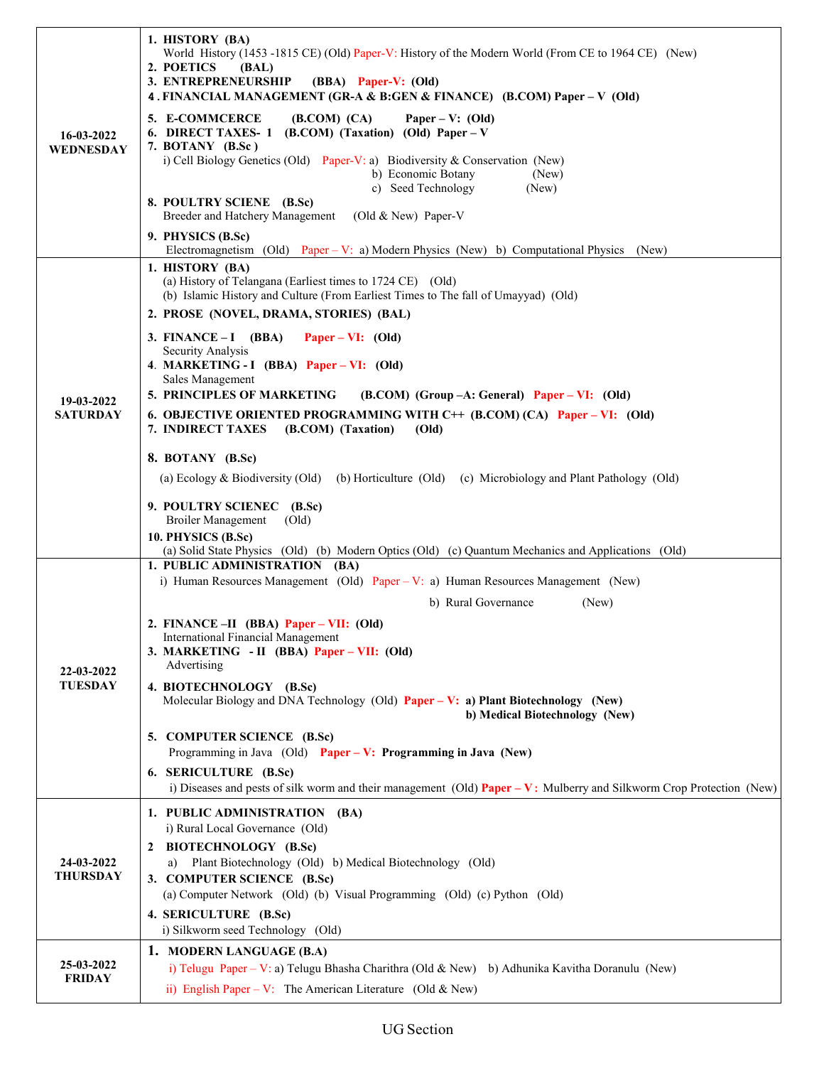| 16-03-2022<br>WEDNESDAY       | 1. HISTORY (BA)<br>World History (1453 -1815 CE) (Old) Paper-V: History of the Modern World (From CE to 1964 CE) (New)<br>2. POETICS<br>(BAL)<br>3. ENTREPRENEURSHIP<br>(BBA) Paper-V: (Old)<br>4. FINANCIAL MANAGEMENT (GR-A & B:GEN & FINANCE) (B.COM) Paper - V (Old) |
|-------------------------------|--------------------------------------------------------------------------------------------------------------------------------------------------------------------------------------------------------------------------------------------------------------------------|
|                               | 5. E-COMMCERCE<br>(B. COM) (CA)<br>Paper – V: $(Old)$<br>6. DIRECT TAXES- 1 (B.COM) (Taxation) (Old) Paper - V<br>7. BOTANY (B.Sc)<br>i) Cell Biology Genetics (Old) Paper-V: a) Biodiversity & Conservation (New)<br>b) Economic Botany<br>(New)                        |
|                               | c) Seed Technology<br>(New)<br>8. POULTRY SCIENE (B.Sc)<br>Breeder and Hatchery Management<br>(Old $& New$ ) Paper-V                                                                                                                                                     |
|                               | 9. PHYSICS (B.Sc)<br>Electromagnetism (Old) Paper – V: a) Modern Physics (New) b) Computational Physics (New)                                                                                                                                                            |
|                               | 1. HISTORY (BA)<br>(a) History of Telangana (Earliest times to 1724 CE) (Old)<br>(b) Islamic History and Culture (From Earliest Times to The fall of Umayyad) (Old)                                                                                                      |
|                               | 2. PROSE (NOVEL, DRAMA, STORIES) (BAL)                                                                                                                                                                                                                                   |
|                               | 3. FINANCE $-I$ (BBA)<br>Paper – VI: $(Old)$<br>Security Analysis                                                                                                                                                                                                        |
|                               | 4. MARKETING - I (BBA) Paper - VI: (Old)<br>Sales Management                                                                                                                                                                                                             |
| 19-03-2022<br><b>SATURDAY</b> | 5. PRINCIPLES OF MARKETING<br>$(B. COM)$ (Group $-A$ : General) Paper – VI: (Old)<br>6. OBJECTIVE ORIENTED PROGRAMMING WITH C++ (B.COM) (CA) Paper – VI: (Old)                                                                                                           |
|                               | 7. INDIRECT TAXES<br>(B.COM) (Taxation)<br>(Old)                                                                                                                                                                                                                         |
|                               | 8. BOTANY (B.Sc)                                                                                                                                                                                                                                                         |
|                               | (a) Ecology & Biodiversity (Old)<br>(b) Horticulture (Old) (c) Microbiology and Plant Pathology (Old)                                                                                                                                                                    |
|                               | 9. POULTRY SCIENEC (B.Sc)<br><b>Broiler Management</b><br>$\text{(Old)}$                                                                                                                                                                                                 |
|                               | 10. PHYSICS (B.Sc)<br>(a) Solid State Physics (Old) (b) Modern Optics (Old) (c) Quantum Mechanics and Applications (Old)                                                                                                                                                 |
|                               | 1. PUBLIC ADMINISTRATION (BA)                                                                                                                                                                                                                                            |
|                               | i) Human Resources Management (Old) Paper - V: a) Human Resources Management (New)<br>b) Rural Governance<br>(New)                                                                                                                                                       |
|                               | 2. FINANCE -II (BBA) Paper - VII: (Old)                                                                                                                                                                                                                                  |
| 22-03-2022                    | International Financial Management<br>3. MARKETING - II (BBA) Paper - VII: (Old)<br>Advertising                                                                                                                                                                          |
| <b>TUESDAY</b>                | 4. BIOTECHNOLOGY (B.Sc)<br>Molecular Biology and DNA Technology (Old) Paper - V: a) Plant Biotechnology (New)<br>b) Medical Biotechnology (New)                                                                                                                          |
|                               | 5. COMPUTER SCIENCE (B.Sc)                                                                                                                                                                                                                                               |
|                               | Programming in Java $(Old)$ Paper – V: Programming in Java (New)<br>6. SERICULTURE (B.Sc)                                                                                                                                                                                |
|                               | i) Diseases and pests of silk worm and their management (Old) <b>Paper – V</b> : Mulberry and Silkworm Crop Protection (New)                                                                                                                                             |
| 24-03-2022<br><b>THURSDAY</b> | 1. PUBLIC ADMINISTRATION (BA)<br>i) Rural Local Governance (Old)                                                                                                                                                                                                         |
|                               | 2 BIOTECHNOLOGY (B.Sc)                                                                                                                                                                                                                                                   |
|                               | Plant Biotechnology (Old) b) Medical Biotechnology (Old)<br>a)<br>3. COMPUTER SCIENCE (B.Sc)                                                                                                                                                                             |
|                               | (a) Computer Network (Old) (b) Visual Programming (Old) (c) Python (Old)                                                                                                                                                                                                 |
|                               | 4. SERICULTURE (B.Sc)<br>i) Silkworm seed Technology (Old)                                                                                                                                                                                                               |
|                               | 1. MODERN LANGUAGE (B.A)                                                                                                                                                                                                                                                 |
| 25-03-2022<br><b>FRIDAY</b>   | i) Telugu Paper – V: a) Telugu Bhasha Charithra (Old & New) b) Adhunika Kavitha Doranulu (New)                                                                                                                                                                           |
|                               | ii) English Paper – V: The American Literature (Old & New)                                                                                                                                                                                                               |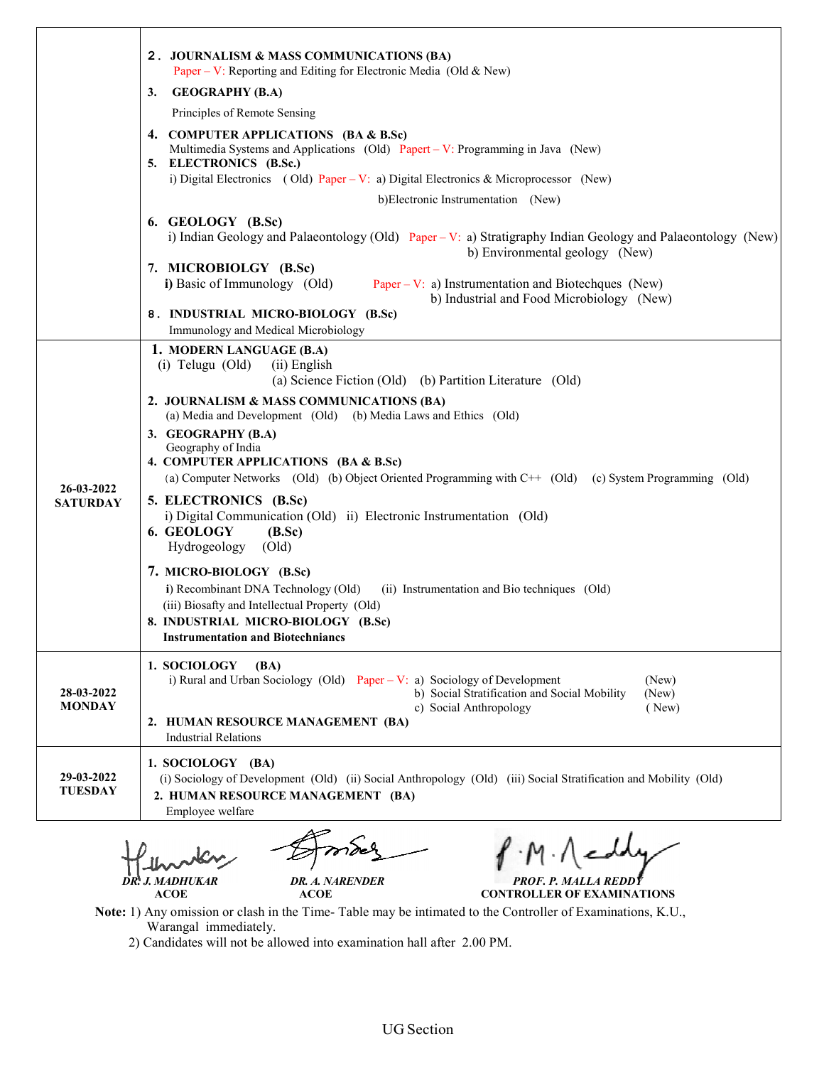|                               | 2. JOURNALISM & MASS COMMUNICATIONS (BA)<br>Paper – V: Reporting and Editing for Electronic Media (Old & New)                                                                                                                                                                                                                                                                                                                                                                                                                                                                               |
|-------------------------------|---------------------------------------------------------------------------------------------------------------------------------------------------------------------------------------------------------------------------------------------------------------------------------------------------------------------------------------------------------------------------------------------------------------------------------------------------------------------------------------------------------------------------------------------------------------------------------------------|
|                               | <b>GEOGRAPHY (B.A)</b><br>3.                                                                                                                                                                                                                                                                                                                                                                                                                                                                                                                                                                |
|                               | Principles of Remote Sensing                                                                                                                                                                                                                                                                                                                                                                                                                                                                                                                                                                |
|                               | 4. COMPUTER APPLICATIONS (BA & B.Sc)<br>Multimedia Systems and Applications (Old) Papert – V: Programming in Java (New)<br>5. ELECTRONICS (B.Sc.)                                                                                                                                                                                                                                                                                                                                                                                                                                           |
|                               | i) Digital Electronics (Old) Paper – V: a) Digital Electronics & Microprocessor (New)                                                                                                                                                                                                                                                                                                                                                                                                                                                                                                       |
|                               | b)Electronic Instrumentation (New)                                                                                                                                                                                                                                                                                                                                                                                                                                                                                                                                                          |
|                               | 6. GEOLOGY (B.Sc)<br>i) Indian Geology and Palaeontology (Old) Paper – V: a) Stratigraphy Indian Geology and Palaeontology (New)<br>b) Environmental geology (New)                                                                                                                                                                                                                                                                                                                                                                                                                          |
|                               | 7. MICROBIOLGY (B.Sc)<br>i) Basic of Immunology (Old)<br>Paper – V: a) Instrumentation and Biotechques (New)<br>b) Industrial and Food Microbiology (New)                                                                                                                                                                                                                                                                                                                                                                                                                                   |
|                               | 8. INDUSTRIAL MICRO-BIOLOGY (B.Sc)<br>Immunology and Medical Microbiology                                                                                                                                                                                                                                                                                                                                                                                                                                                                                                                   |
| 26-03-2022<br><b>SATURDAY</b> | 1. MODERN LANGUAGE (B.A)<br>$(i)$ Telugu $(Old)$<br>(ii) English<br>(a) Science Fiction (Old) (b) Partition Literature (Old)<br>2. JOURNALISM & MASS COMMUNICATIONS (BA)<br>(a) Media and Development (Old) (b) Media Laws and Ethics (Old)<br>3. GEOGRAPHY (B.A)<br>Geography of India<br>4. COMPUTER APPLICATIONS (BA & B.Sc)<br>(a) Computer Networks (Old) (b) Object Oriented Programming with C++ (Old) (c) System Programming (Old)<br>5. ELECTRONICS (B.Sc)<br>i) Digital Communication (Old) ii) Electronic Instrumentation (Old)<br>6. GEOLOGY<br>(B.Sc)<br>Hydrogeology<br>(Old) |
|                               | 7. MICRO-BIOLOGY (B.Sc)<br>i) Recombinant DNA Technology (Old)<br>(ii) Instrumentation and Bio techniques (Old)<br>(iii) Biosafty and Intellectual Property (Old)<br>8. INDUSTRIAL MICRO-BIOLOGY (B.Sc)<br><b>Instrumentation and Biotechniancs</b>                                                                                                                                                                                                                                                                                                                                         |
| 28-03-2022<br><b>MONDAY</b>   | 1. SOCIOLOGY<br><b>(BA)</b><br>i) Rural and Urban Sociology (Old) Paper – V: a) Sociology of Development<br>(New)<br>b) Social Stratification and Social Mobility<br>(New)<br>c) Social Anthropology<br>( New)<br>2. HUMAN RESOURCE MANAGEMENT (BA)<br><b>Industrial Relations</b>                                                                                                                                                                                                                                                                                                          |
| 29-03-2022<br>TUESDAY         | 1. SOCIOLOGY (BA)<br>(i) Sociology of Development (Old) (ii) Social Anthropology (Old) (iii) Social Stratification and Mobility (Old)<br>2. HUMAN RESOURCE MANAGEMENT (BA)<br>Employee welfare                                                                                                                                                                                                                                                                                                                                                                                              |

 *DR. J. MADHUKAR DR. A. NARENDER* ACOE ACOE

*MADHUKAR PROF. P. MALLA REDDY*

**CONTROLLER OF EXAMINATIONS**

Note: 1) Any omission or clash in the Time-Table may be intimated to the Controller of Examinations, K.U., Warangal immediately.

2) Candidates will not be allowed into examination hall after 2.00 PM.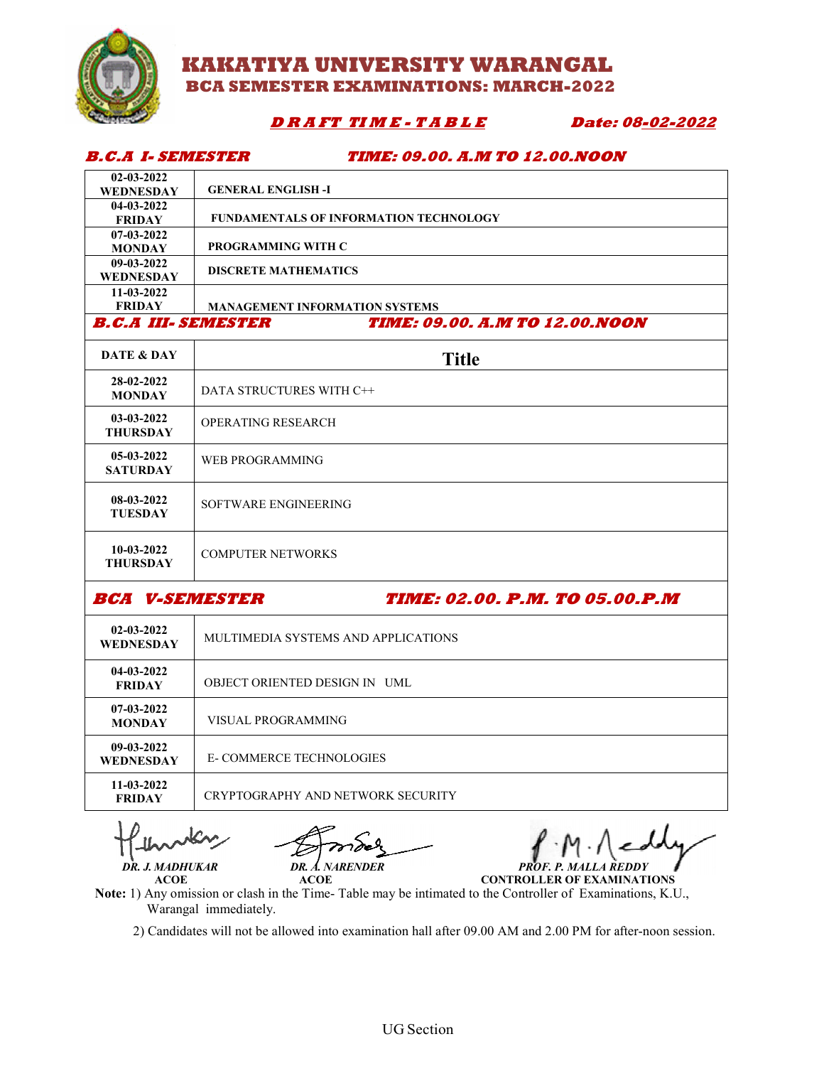

### **KAKATIYA UNIVERSITY WARANGAL BCA SEM SEMESTER EXAMINATIONS: MARCH-2022**

### **D R A FT TIME - T A B L E Date: 0**

**08-02-2022**

#### **B.C.A I- SEMESTER TIME: 09.00. A.M TO 12.00.NOON**

|                            | <i>B.C.A I. SEMESTER</i><br><i>TIME: 09.00. A.M TO 12.00.NOON</i> |  |
|----------------------------|-------------------------------------------------------------------|--|
| $02 - 03 - 2022$           |                                                                   |  |
| <b>WEDNESDAY</b>           | <b>GENERAL ENGLISH -I</b>                                         |  |
| $04 - 03 - 2022$           |                                                                   |  |
| <b>FRIDAY</b>              | FUNDAMENTALS OF INFORMATION TECHNOLOGY                            |  |
| $07-03-2022$               |                                                                   |  |
| <b>MONDAY</b>              | PROGRAMMING WITH C                                                |  |
| $09 - 03 - 2022$           | <b>DISCRETE MATHEMATICS</b>                                       |  |
| <b>WEDNESDAY</b>           |                                                                   |  |
| $11-03-2022$               |                                                                   |  |
| <b>FRIDAY</b>              | <b>MANAGEMENT INFORMATION SYSTEMS</b>                             |  |
| <b>B.C.A III. SEMESTER</b> | <b>TIME: 09.00. A.M TO 12.00.NOON</b>                             |  |
| DATE & DAY                 | <b>Title</b>                                                      |  |
| 28-02-2022<br>MONDAY       | DATA STRUCTURES WITH C++                                          |  |

| <b>MONDAY</b>                   | DATA STRUCTURES WITH C++ |
|---------------------------------|--------------------------|
| $03-03-2022$<br><b>THURSDAY</b> | OPERATING RESEARCH       |
| $05-03-2022$<br><b>SATURDAY</b> | WEB PROGRAMMING          |
| 08-03-2022<br><b>TUESDAY</b>    | SOFTWARE ENGINEERING     |
| $10-03-2022$<br><b>THURSDAY</b> | <b>COMPUTER NETWORKS</b> |

**BCA V-SEMESTER** 

**SEMESTER TIME: 02.00. P.M. TO 05.00.P.M .00.P.M**

| $02 - 03 - 2022$<br><b>WEDNESDAY</b> | MULTIMEDIA SYSTEMS AND APPLICATIONS |
|--------------------------------------|-------------------------------------|
| $04 - 03 - 2022$<br><b>FRIDAY</b>    | OBJECT ORIENTED DESIGN IN UML       |
| $07-03-2022$<br><b>MONDAY</b>        | VISUAL PROGRAMMING                  |
| 09-03-2022<br><b>WEDNESDAY</b>       | <b>E-COMMERCE TECHNOLOGIES</b>      |
| 11-03-2022<br><b>FRIDAY</b>          | CRYPTOGRAPHY AND NETWORK SECURITY   |

 **ACOE ACOE**

 *DR. J. MADHUKAR DR. A. NARENDER MADHUKAR PROF. P. MALLA REDDY*

**CONTROLLER OF EXAMINATIONS**

Note: 1) Any omission or clash in the Time-Table may be intimated to the Controller of Examinations, K.U., Warangal immediately. (1) Any omission or clash in the Time-Table may be intimated to the Controller of Examinations, K.U., Warangal immediately.<br>2) Candidates will not be allowed into examination hall after 09.00 AM and 2.00 PM for after-noon